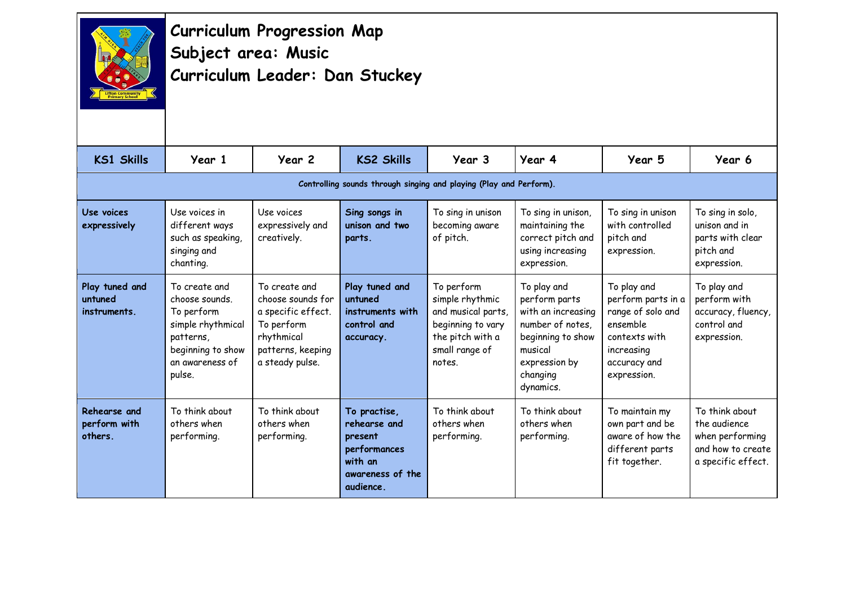

## **Curriculum Progression Map Subject area: Music Curriculum Leader: Dan Stuckey**

| <b>KS1 Skills</b>                         | Year 1                                                                                                                            | Year 2                                                                                                                       | <b>KS2 Skills</b>                                                                                   | Year 3                                                                                                                   | Year 4                                                                                                                                           | Year 5                                                                                                                           | Year 6                                                                                       |  |  |  |
|-------------------------------------------|-----------------------------------------------------------------------------------------------------------------------------------|------------------------------------------------------------------------------------------------------------------------------|-----------------------------------------------------------------------------------------------------|--------------------------------------------------------------------------------------------------------------------------|--------------------------------------------------------------------------------------------------------------------------------------------------|----------------------------------------------------------------------------------------------------------------------------------|----------------------------------------------------------------------------------------------|--|--|--|
|                                           | Controlling sounds through singing and playing (Play and Perform).                                                                |                                                                                                                              |                                                                                                     |                                                                                                                          |                                                                                                                                                  |                                                                                                                                  |                                                                                              |  |  |  |
| Use voices<br>expressively                | Use voices in<br>different ways<br>such as speaking,<br>singing and<br>chanting.                                                  | Use voices<br>expressively and<br>creatively.                                                                                | Sing songs in<br>unison and two<br>parts.                                                           | To sing in unison<br>becoming aware<br>of pitch.                                                                         | To sing in unison,<br>maintaining the<br>correct pitch and<br>using increasing<br>expression.                                                    | To sing in unison<br>with controlled<br>pitch and<br>expression.                                                                 | To sing in solo,<br>unison and in<br>parts with clear<br>pitch and<br>expression.            |  |  |  |
| Play tuned and<br>untuned<br>instruments. | To create and<br>choose sounds.<br>To perform<br>simple rhythmical<br>patterns.<br>beginning to show<br>an awareness of<br>pulse. | To create and<br>choose sounds for<br>a specific effect.<br>To perform<br>rhythmical<br>patterns, keeping<br>a steady pulse. | Play tuned and<br>untuned<br>instruments with<br>control and<br>accuracy.                           | To perform<br>simple rhythmic<br>and musical parts,<br>beginning to vary<br>the pitch with a<br>small range of<br>notes. | To play and<br>perform parts<br>with an increasing<br>number of notes,<br>beginning to show<br>musical<br>expression by<br>changing<br>dynamics. | To play and<br>perform parts in a<br>range of solo and<br>ensemble<br>contexts with<br>increasing<br>accuracy and<br>expression. | To play and<br>perform with<br>accuracy, fluency,<br>control and<br>expression.              |  |  |  |
| Rehearse and<br>perform with<br>others.   | To think about<br>others when<br>performing.                                                                                      | To think about<br>others when<br>performing.                                                                                 | To practise,<br>rehearse and<br>present<br>performances<br>with an<br>awareness of the<br>audience. | To think about<br>others when<br>performing.                                                                             | To think about<br>others when<br>performing.                                                                                                     | To maintain my<br>own part and be<br>aware of how the<br>different parts<br>fit together.                                        | To think about<br>the audience<br>when performing<br>and how to create<br>a specific effect. |  |  |  |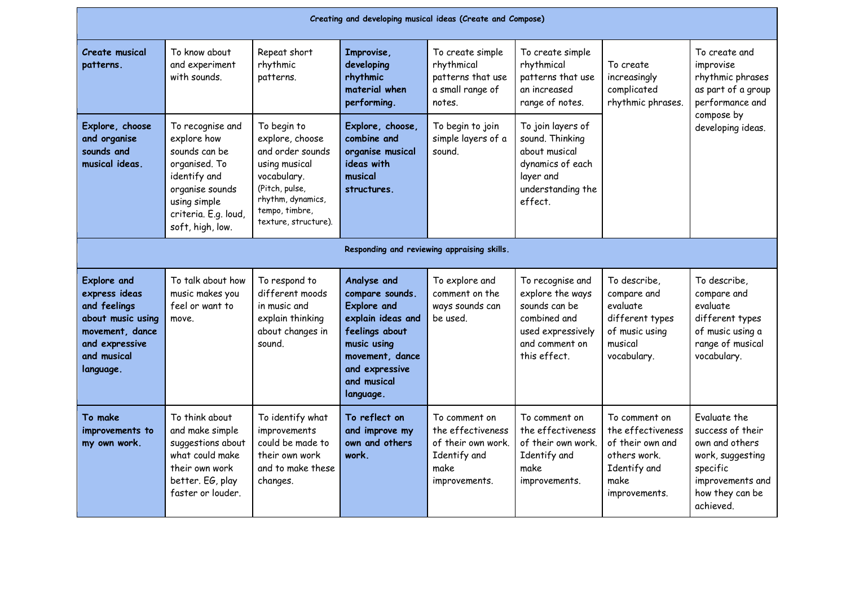| Creating and developing musical ideas (Create and Compose)                                                                                |                                                                                                                                                                  |                                                                                                                                                                     |                                                                                                                                                                             |                                                                                                   |                                                                                                                              |                                                                                                                 |                                                                                                                                        |  |
|-------------------------------------------------------------------------------------------------------------------------------------------|------------------------------------------------------------------------------------------------------------------------------------------------------------------|---------------------------------------------------------------------------------------------------------------------------------------------------------------------|-----------------------------------------------------------------------------------------------------------------------------------------------------------------------------|---------------------------------------------------------------------------------------------------|------------------------------------------------------------------------------------------------------------------------------|-----------------------------------------------------------------------------------------------------------------|----------------------------------------------------------------------------------------------------------------------------------------|--|
| <b>Create musical</b><br>patterns.                                                                                                        | To know about<br>and experiment<br>with sounds.                                                                                                                  | Repeat short<br>rhythmic<br>patterns.                                                                                                                               | Improvise,<br>developing<br>rhythmic<br>material when<br>performing.                                                                                                        | To create simple<br>rhythmical<br>patterns that use<br>a small range of<br>notes.                 | To create simple<br>rhythmical<br>patterns that use<br>an increased<br>range of notes.                                       | To create<br>increasingly<br>complicated<br>rhythmic phrases.                                                   | To create and<br>improvise<br>rhythmic phrases<br>as part of a group<br>performance and<br>compose by<br>developing ideas.             |  |
| Explore, choose<br>and organise<br>sounds and<br>musical ideas.                                                                           | To recognise and<br>explore how<br>sounds can be<br>organised. To<br>identify and<br>organise sounds<br>using simple<br>criteria. E.g. loud,<br>soft, high, low. | To begin to<br>explore, choose<br>and order sounds<br>using musical<br>vocabulary.<br>(Pitch, pulse,<br>rhythm, dynamics,<br>tempo, timbre,<br>texture, structure). | Explore, choose,<br>combine and<br>organise musical<br>ideas with<br>musical<br>structures.                                                                                 | To begin to join<br>simple layers of a<br>sound.                                                  | To join layers of<br>sound. Thinking<br>about musical<br>dynamics of each<br>layer and<br>understanding the<br>effect.       |                                                                                                                 |                                                                                                                                        |  |
|                                                                                                                                           |                                                                                                                                                                  |                                                                                                                                                                     |                                                                                                                                                                             | Responding and reviewing appraising skills.                                                       |                                                                                                                              |                                                                                                                 |                                                                                                                                        |  |
| <b>Explore and</b><br>express ideas<br>and feelings<br>about music using<br>movement, dance<br>and expressive<br>and musical<br>language. | To talk about how<br>music makes you<br>feel or want to<br>move.                                                                                                 | To respond to<br>different moods<br>in music and<br>explain thinking<br>about changes in<br>sound.                                                                  | Analyse and<br>compare sounds.<br><b>Explore and</b><br>explain ideas and<br>feelings about<br>music using<br>movement, dance<br>and expressive<br>and musical<br>language. | To explore and<br>comment on the<br>ways sounds can<br>be used.                                   | To recognise and<br>explore the ways<br>sounds can be<br>combined and<br>used expressively<br>and comment on<br>this effect. | To describe,<br>compare and<br>evaluate<br>different types<br>of music using<br>musical<br>vocabulary.          | To describe,<br>compare and<br>evaluate<br>different types<br>of music using a<br>range of musical<br>vocabulary.                      |  |
| To make<br>improvements to<br>my own work.                                                                                                | To think about<br>and make simple<br>suggestions about<br>what could make<br>their own work<br>better. EG, play<br>faster or louder.                             | To identify what<br>improvements<br>could be made to<br>their own work<br>and to make these<br>changes.                                                             | To reflect on<br>and improve my<br>own and others<br>work.                                                                                                                  | To comment on<br>the effectiveness<br>of their own work.<br>Identify and<br>make<br>improvements. | To comment on<br>the effectiveness<br>of their own work.<br>Identify and<br>make<br>improvements.                            | To comment on<br>the effectiveness<br>of their own and<br>others work.<br>Identify and<br>make<br>improvements. | Evaluate the<br>success of their<br>own and others<br>work, suggesting<br>specific<br>improvements and<br>how they can be<br>achieved. |  |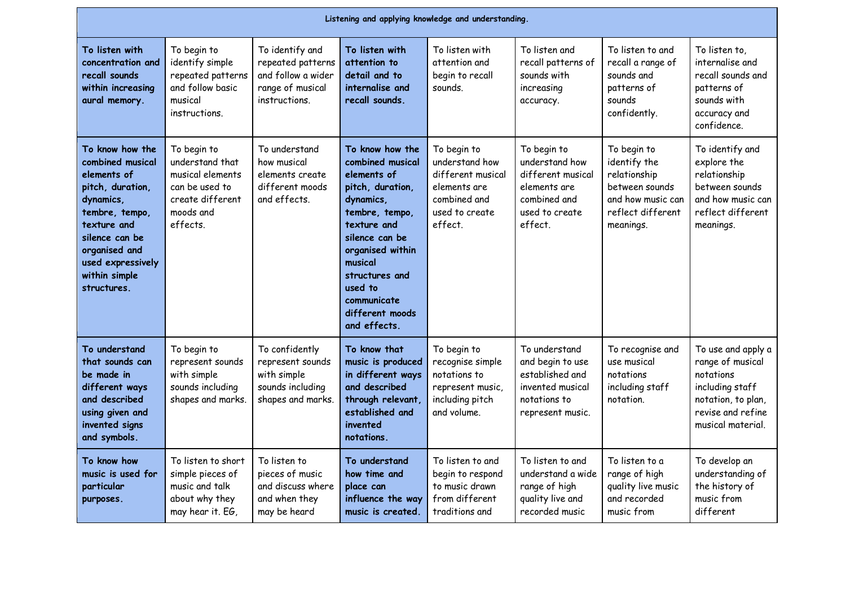| Listening and applying knowledge and understanding.                                                                                                                                                          |                                                                                                                   |                                                                                                 |                                                                                                                                                                                                                                                      |                                                                                                                 |                                                                                                                 |                                                                                                                      |                                                                                                                                        |  |
|--------------------------------------------------------------------------------------------------------------------------------------------------------------------------------------------------------------|-------------------------------------------------------------------------------------------------------------------|-------------------------------------------------------------------------------------------------|------------------------------------------------------------------------------------------------------------------------------------------------------------------------------------------------------------------------------------------------------|-----------------------------------------------------------------------------------------------------------------|-----------------------------------------------------------------------------------------------------------------|----------------------------------------------------------------------------------------------------------------------|----------------------------------------------------------------------------------------------------------------------------------------|--|
| To listen with<br>concentration and<br>recall sounds<br>within increasing<br>aural memory.                                                                                                                   | To begin to<br>identify simple<br>repeated patterns<br>and follow basic<br>musical<br>instructions.               | To identify and<br>repeated patterns<br>and follow a wider<br>range of musical<br>instructions. | To listen with<br>attention to<br>detail and to<br>internalise and<br>recall sounds.                                                                                                                                                                 | To listen with<br>attention and<br>begin to recall<br>sounds.                                                   | To listen and<br>recall patterns of<br>sounds with<br>increasing<br>accuracy.                                   | To listen to and<br>recall a range of<br>sounds and<br>patterns of<br>sounds<br>confidently.                         | To listen to,<br>internalise and<br>recall sounds and<br>patterns of<br>sounds with<br>accuracy and<br>confidence.                     |  |
| To know how the<br>combined musical<br>elements of<br>pitch, duration,<br>dynamics,<br>tembre, tempo,<br>texture and<br>silence can be<br>organised and<br>used expressively<br>within simple<br>structures. | To begin to<br>understand that<br>musical elements<br>can be used to<br>create different<br>moods and<br>effects. | To understand<br>how musical<br>elements create<br>different moods<br>and effects.              | To know how the<br>combined musical<br>elements of<br>pitch, duration,<br>dynamics,<br>tembre, tempo,<br>texture and<br>silence can be<br>organised within<br>musical<br>structures and<br>used to<br>communicate<br>different moods<br>and effects. | To begin to<br>understand how<br>different musical<br>elements are<br>combined and<br>used to create<br>effect. | To begin to<br>understand how<br>different musical<br>elements are<br>combined and<br>used to create<br>effect. | To begin to<br>identify the<br>relationship<br>between sounds<br>and how music can<br>reflect different<br>meanings. | To identify and<br>explore the<br>relationship<br>between sounds<br>and how music can<br>reflect different<br>meanings.                |  |
| To understand<br>that sounds can<br>be made in<br>different ways<br>and described<br>using given and<br>invented signs<br>and symbols.                                                                       | To begin to<br>represent sounds<br>with simple<br>sounds including<br>shapes and marks.                           | To confidently<br>represent sounds<br>with simple<br>sounds including<br>shapes and marks.      | To know that<br>music is produced<br>in different ways<br>and described<br>through relevant,<br>established and<br>invented<br>notations.                                                                                                            | To begin to<br>recognise simple<br>notations to<br>represent music,<br>including pitch<br>and volume.           | To understand<br>and begin to use<br>established and<br>invented musical<br>notations to<br>represent music.    | To recognise and<br>use musical<br>notations<br>including staff<br>notation.                                         | To use and apply a<br>range of musical<br>notations<br>including staff<br>notation, to plan,<br>revise and refine<br>musical material. |  |
| To know how<br>music is used for<br>particular<br>purposes.                                                                                                                                                  | To listen to short<br>simple pieces of<br>music and talk<br>about why they<br>may hear it. EG,                    | To listen to<br>pieces of music<br>and discuss where<br>and when they<br>may be heard           | To understand<br>how time and<br>place can<br>influence the way<br>music is created.                                                                                                                                                                 | To listen to and<br>begin to respond<br>to music drawn<br>from different<br>traditions and                      | To listen to and<br>understand a wide<br>range of high<br>quality live and<br>recorded music                    | To listen to a<br>range of high<br>quality live music<br>and recorded<br>music from                                  | To develop an<br>understanding of<br>the history of<br>music from<br>different                                                         |  |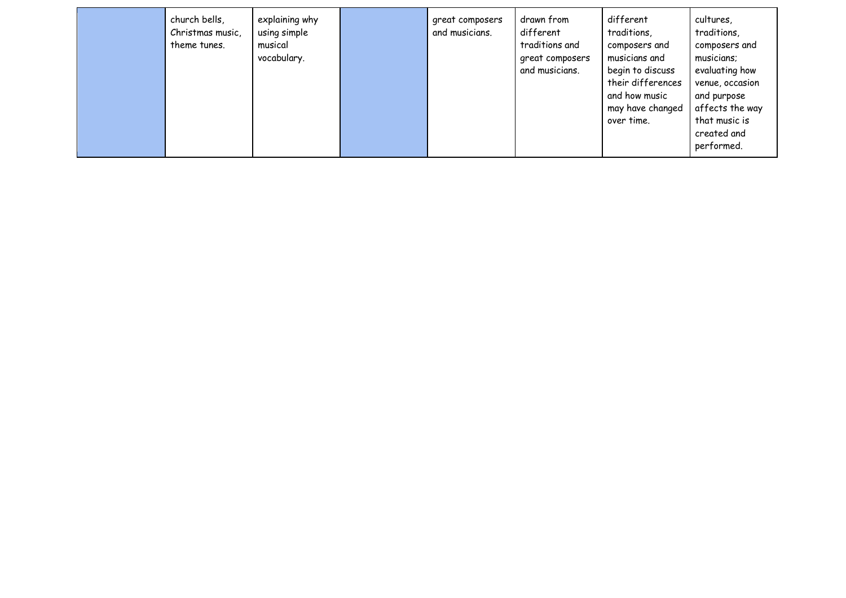|  | church bells,<br>Christmas music,<br>theme tunes. | explaining why<br>using simple<br>musical<br>vocabulary. |  | great composers<br>and musicians. | drawn from<br>different<br>traditions and<br>great composers<br>and musicians. | different<br>traditions,<br>composers and<br>musicians and<br>begin to discuss<br>their differences<br>and how music<br>may have changed<br>over time. | cultures,<br>traditions,<br>composers and<br>musicians;<br>evaluating how<br>venue, occasion<br>and purpose<br>affects the way<br>that music is<br>created and<br>performed. |
|--|---------------------------------------------------|----------------------------------------------------------|--|-----------------------------------|--------------------------------------------------------------------------------|--------------------------------------------------------------------------------------------------------------------------------------------------------|------------------------------------------------------------------------------------------------------------------------------------------------------------------------------|
|--|---------------------------------------------------|----------------------------------------------------------|--|-----------------------------------|--------------------------------------------------------------------------------|--------------------------------------------------------------------------------------------------------------------------------------------------------|------------------------------------------------------------------------------------------------------------------------------------------------------------------------------|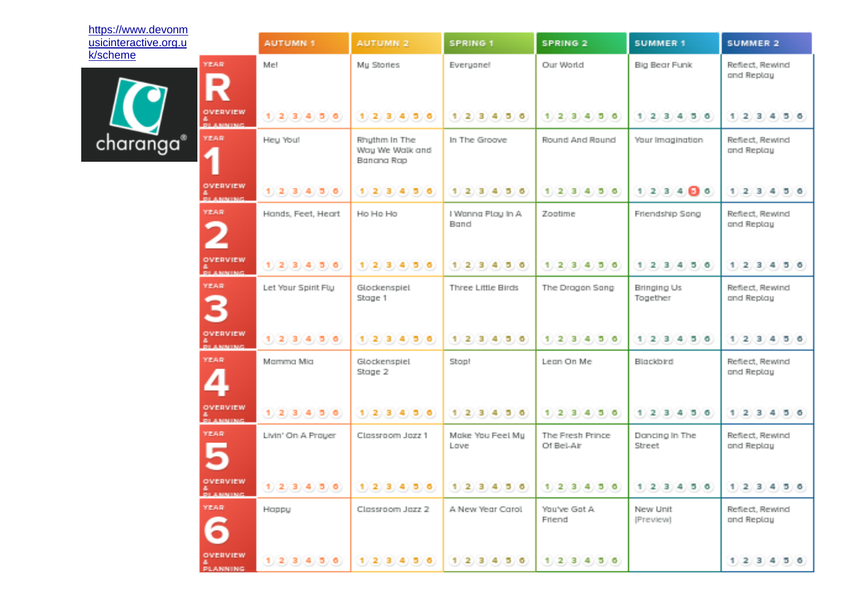| https://www.devonm    |                                    |                     |                                                |                           |                                |                           |                               |
|-----------------------|------------------------------------|---------------------|------------------------------------------------|---------------------------|--------------------------------|---------------------------|-------------------------------|
| usicinteractive.org.u |                                    | <b>AUTUMN 1</b>     | AUTUMN <sub>2</sub>                            | <b>SPRING 1</b>           | SPRING 2                       | <b>SUMMER 1</b>           | <b>SUMMER 2</b>               |
| k/scheme              | <b>YIEAR</b>                       | Met                 | My Stories                                     | Everyonel                 | Our World                      | Big Bear Funk             | Reflect, Rewind<br>and Replay |
|                       | IN<br>OVERVIEW                     | 1, 2, 3, 4, 5, 6    | 1, 2, 3, 4, 5, 6                               | 1, 2, 3, 4, 5, 6          | 1, 2, 3, 4, 5, 6               | $1$ 2 3 4 5 6             | $1$ 2 3 4 5 6                 |
|                       | <b>&amp;</b><br>REARMING           |                     |                                                |                           |                                |                           |                               |
| charanga®             | YEAR<br>4                          | Heu You!            | Rhythm In The<br>Way We Walk and<br>Banana Rap | In The Groove.            | Round And Round                | Your Imagination          | Reflect, Rewind<br>and Replay |
|                       | OVERVIEW<br><b>DI ANNING</b>       | 1, 2, 3, 4, 5, 6    | 1, 2, 3, 4, 5, 6                               | 1, 2, 3, 4, 5, 6          | 1 2 3 4 5 6                    | 1, 2, 3, 4, 6, 6          | 1 2 3 4 5 6                   |
|                       | <b>YEAR</b>                        | Hands, Feet, Heart  | Ho Ho Ho                                       | I Wanna Ptay In A<br>Band | Zootime                        | Friendship Song           | Reflect, Rewind<br>and Replay |
|                       | OVERVIEW<br><b>A</b><br>BILANMING, | 1, 2, 3, 4, 5, 6    | (1, 2, 3, 4, 5, 6)                             | 1, 2, 3, 4, 5, 6          | 1, 2, 3, 4, 5, 6               | $1$ 2 3 4 5 6             | 1, 2, 3, 4<br>1510            |
|                       | YEAR<br>¢                          | Let Your Spirit Fly | Glockenspiel<br>Stage 1                        | Three Little Birds        | The Dragon Song                | Bringing Us<br>Together   | Reflect, Rewind<br>and Replay |
|                       | OVERVIEW<br><b>DI ANNING</b>       | 1, 2, 3, 4, 5, 6    | 1, 2, 3, 4, 5, 6                               | 1, 2, 3, 4, 5, 6          | 1, 2, 3, 4, 5, 6               | 1, 2, 3, 4, 5, 6          | 1, 2, 3, 4, 5, 6              |
|                       | YEAR                               | Mamma Mia           | Glockenspiel<br>Stoge 2                        | Stop!                     | Lean On Me                     | Blockbird                 | Reflect, Rewind<br>and Replay |
|                       | OVERVIEW<br>ALCOHOL: N             | 1, 2, 3, 4, 5, 6    | 1, 2, 3, 4, 5, 6                               | $1$ 2 3 4 5 6             | 1, 2, 3, 4, 5, 6               | $1$ 2 3 4 5 6             | 1, 2, 3, 4, 5, 6              |
|                       | YEAR                               | Livin' On A Prouer  | Classroom Jazz 1                               | Make You Feet Mu<br>Lowe  | The Fresh Prince<br>Of Bel-Air | Dancing in The<br>Street. | Reflect, Rewind<br>and Replay |
|                       | OVERVIEW<br><b>DI ANNING</b>       | 1, 2, 3, 4, 5, 6    | 1, 2, 3, 4, 5, 6                               | 1 2 8 4 5 6               | 1 2 3 4 5 6                    | 1, 2, 3, 4, 5, 6          | 1 2 3 4 5 6                   |
|                       | YEAR                               | Hiappy              | Classroom Jazz 2                               | A New Year Carol.         | You've Got A<br>Friend         | New Unit<br>(Preview)     | Reflect, Rewind<br>and Replay |
|                       | OVERVIEW<br>PLANNING.              | 1, 2, 3, 4, 5, 6    | 1, 2, 3, 4, 5, 6                               | 1, 2, 3, 4, 5, 6          | 1, 2, 3, 4, 5, 6               |                           | 1, 2, 3, 4, 5, 6              |